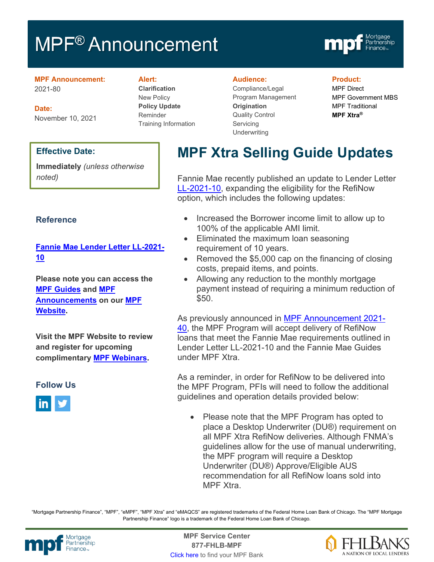# MPF<sup>®</sup> Announcement



#### **MPF Announcement:** 2021-80

**Date:** November 10, 2021

### **Alert:**

**Clarification** New Policy **Policy Update** Reminder Training Information

#### **Audience:**

Compliance/Legal Program Management **Origination**  Quality Control **Servicing Underwriting** 

#### **Product:**

MPF Direct MPF Government MBS MPF Traditional **MPF Xtra®**

#### **Effective Date:**

**Immediately** *(unless otherwise noted)*

## **Reference**

# **[Fannie Mae Lender Letter LL-2021-](https://singlefamily.fanniemae.com/media/25696/display) [10](https://singlefamily.fanniemae.com/media/25696/display)**

**Please note you can access the [MPF Guides](https://fhlbmpf.com/mpf-guides/guides) and [MPF](https://fhlbmpf.com/mpf-guides/announcements)  [Announcements](https://fhlbmpf.com/mpf-guides/announcements) on our [MPF](https://fhlbmpf.com/)  [Website.](https://fhlbmpf.com/)** 

**Visit the MPF Website to review and register for upcoming complimentary [MPF Webinars.](https://www.fhlbmpf.com/education/upcoming-webinars)**

#### **Follow Us**



# **MPF Xtra Selling Guide Updates**

Fannie Mae recently published an update to Lender Letter [LL-2021-10,](https://singlefamily.fanniemae.com/media/25696/display) expanding the eligibility for the RefiNow option, which includes the following updates:

- Increased the Borrower income limit to allow up to 100% of the applicable AMI limit.
- Eliminated the maximum loan seasoning requirement of 10 years.
- Removed the \$5,000 cap on the financing of closing costs, prepaid items, and points.
- Allowing any reduction to the monthly mortgage payment instead of requiring a minimum reduction of \$50.

As previously announced in [MPF Announcement 2021-](https://www.fhlbmpf.com/docs/default-source/2021-announcements/mpf-announcement-2021-40.pdf?sfvrsn=1d4fe115_0) [40,](https://www.fhlbmpf.com/docs/default-source/2021-announcements/mpf-announcement-2021-40.pdf?sfvrsn=1d4fe115_0) the MPF Program will accept delivery of RefiNow loans that meet the Fannie Mae requirements outlined in Lender Letter LL-2021-10 and the Fannie Mae Guides under MPF Xtra.

As a reminder, in order for RefiNow to be delivered into the MPF Program, PFIs will need to follow the additional guidelines and operation details provided below:

• Please note that the MPF Program has opted to place a Desktop Underwriter (DU®) requirement on all MPF Xtra RefiNow deliveries. Although FNMA's guidelines allow for the use of manual underwriting, the MPF program will require a Desktop Underwriter (DU®) Approve/Eligible AUS recommendation for all RefiNow loans sold into MPF Xtra.

"Mortgage Partnership Finance", "MPF", "eMPF", "MPF Xtra" and "eMAQCS" are registered trademarks of the Federal Home Loan Bank of Chicago. The "MPF Mortgage Partnership Finance" logo is a trademark of the Federal Home Loan Bank of Chicago.



Mortgage **Center Service Center**<br>Partnership **Canadian Center Center**<br> **Partnership CALL STATELL B MDE 877-FHLB-MPF** [Click here](https://www.fhlbmpf.com/fhlbanks/fhlbanks) to find your MPF Bank